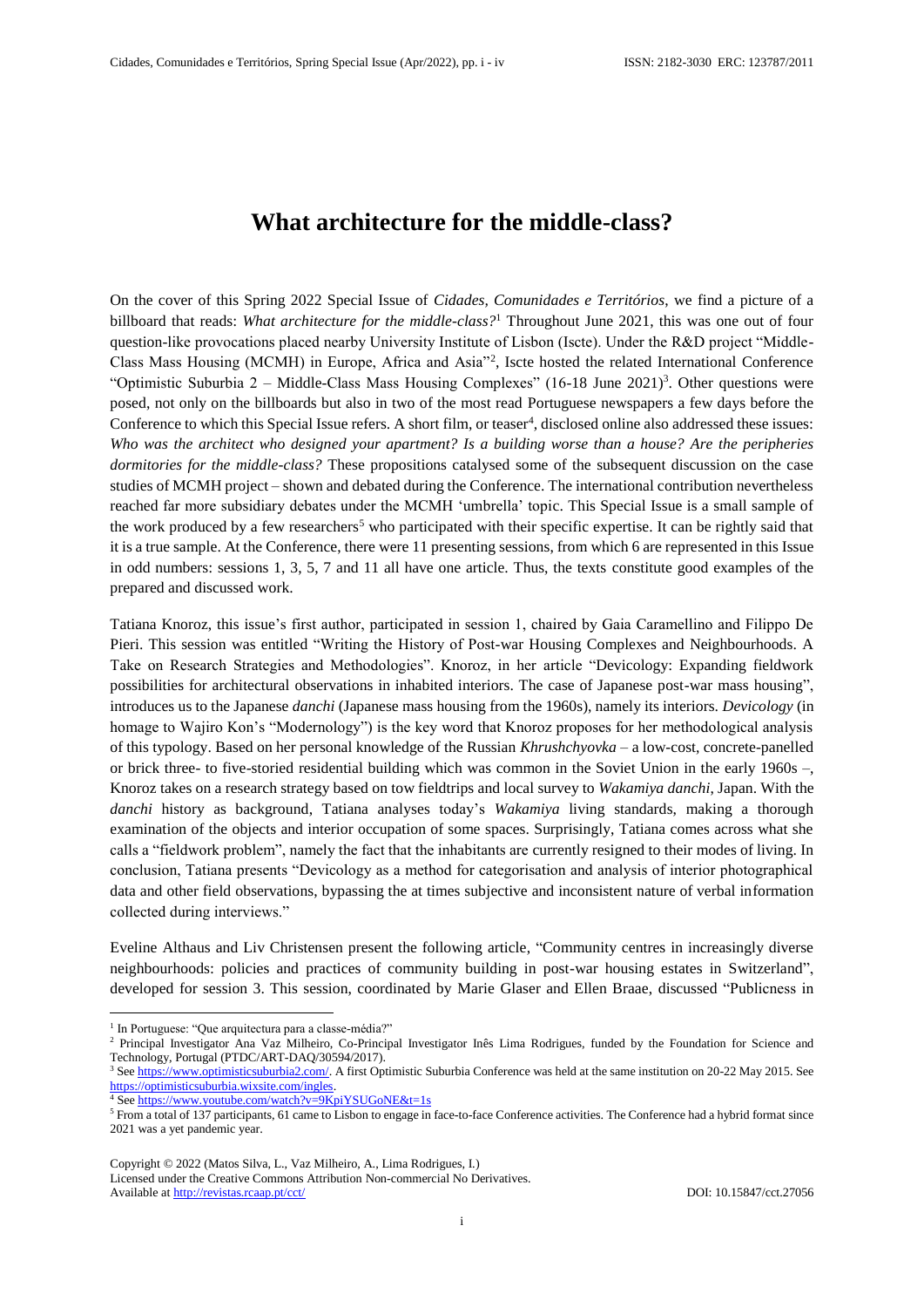# **What architecture for the middle-class?**

On the cover of this Spring 2022 Special Issue of *Cidades, Comunidades e Territórios*, we find a picture of a billboard that reads: *What architecture for the middle-class?*<sup>1</sup> Throughout June 2021, this was one out of four question-like provocations placed nearby University Institute of Lisbon (Iscte). Under the R&D project "Middle-Class Mass Housing (MCMH) in Europe, Africa and Asia"<sup>2</sup> , Iscte hosted the related International Conference "Optimistic Suburbia  $2$  – Middle-Class Mass Housing Complexes"  $(16-18)$  June  $2021$ <sup>3</sup>. Other questions were posed, not only on the billboards but also in two of the most read Portuguese newspapers a few days before the Conference to which this Special Issue refers. A short film, or teaser<sup>4</sup>, disclosed online also addressed these issues: *Who was the architect who designed your apartment? Is a building worse than a house? Are the peripheries dormitories for the middle-class?* These propositions catalysed some of the subsequent discussion on the case studies of MCMH project – shown and debated during the Conference. The international contribution nevertheless reached far more subsidiary debates under the MCMH 'umbrella' topic. This Special Issue is a small sample of the work produced by a few researchers<sup>5</sup> who participated with their specific expertise. It can be rightly said that it is a true sample. At the Conference, there were 11 presenting sessions, from which 6 are represented in this Issue in odd numbers: sessions 1, 3, 5, 7 and 11 all have one article. Thus, the texts constitute good examples of the prepared and discussed work.

Tatiana Knoroz, this issue's first author, participated in session 1, chaired by Gaia Caramellino and Filippo De Pieri. This session was entitled "Writing the History of Post-war Housing Complexes and Neighbourhoods. A Take on Research Strategies and Methodologies". Knoroz, in her article "Devicology: Expanding fieldwork possibilities for architectural observations in inhabited interiors. The case of Japanese post-war mass housing", introduces us to the Japanese *danchi* (Japanese mass housing from the 1960s), namely its interiors. *Devicology* (in homage to Wajiro Kon's "Modernology") is the key word that Knoroz proposes for her methodological analysis of this typology. Based on her personal knowledge of the Russian *Khrushchyovka –* a low-cost, concrete-panelled or brick three- to five-storied residential building which was common in the Soviet Union in the early 1960s *–*, Knoroz takes on a research strategy based on tow fieldtrips and local survey to *Wakamiya danchi*, Japan. With the *danchi* history as background, Tatiana analyses today's *Wakamiya* living standards, making a thorough examination of the objects and interior occupation of some spaces. Surprisingly, Tatiana comes across what she calls a "fieldwork problem", namely the fact that the inhabitants are currently resigned to their modes of living. In conclusion, Tatiana presents "Devicology as a method for categorisation and analysis of interior photographical data and other field observations, bypassing the at times subjective and inconsistent nature of verbal information collected during interviews."

Eveline Althaus and Liv Christensen present the following article, "Community centres in increasingly diverse neighbourhoods: policies and practices of community building in post-war housing estates in Switzerland", developed for session 3. This session, coordinated by Marie Glaser and Ellen Braae, discussed "Publicness in

Licensed under the Creative Commons Attribution Non-commercial No Derivatives.

 $\overline{\phantom{a}}$ 

<sup>&</sup>lt;sup>1</sup> In Portuguese: "Que arquitectura para a classe-média?"

<sup>&</sup>lt;sup>2</sup> Principal Investigator Ana Vaz Milheiro, Co-Principal Investigator Inês Lima Rodrigues, funded by the Foundation for Science and Technology, Portugal (PTDC/ART-DAQ/30594/2017).

<sup>&</sup>lt;sup>3</sup> See [https://www.optimisticsuburbia2.com/.](https://www.optimisticsuburbia2.com/) A first Optimistic Suburbia Conference was held at the same institution on 20-22 May 2015. See [https://optimisticsuburbia.wixsite.com/ingles.](https://optimisticsuburbia.wixsite.com/ingles)

<sup>4</sup> See<https://www.youtube.com/watch?v=9KpiYSUGoNE&t=1s>

<sup>&</sup>lt;sup>5</sup> From a total of 137 participants, 61 came to Lisbon to engage in face-to-face Conference activities. The Conference had a hybrid format since 2021 was a yet pandemic year.

Copyright © 2022 (Matos Silva, L., Vaz Milheiro, A., Lima Rodrigues, I.)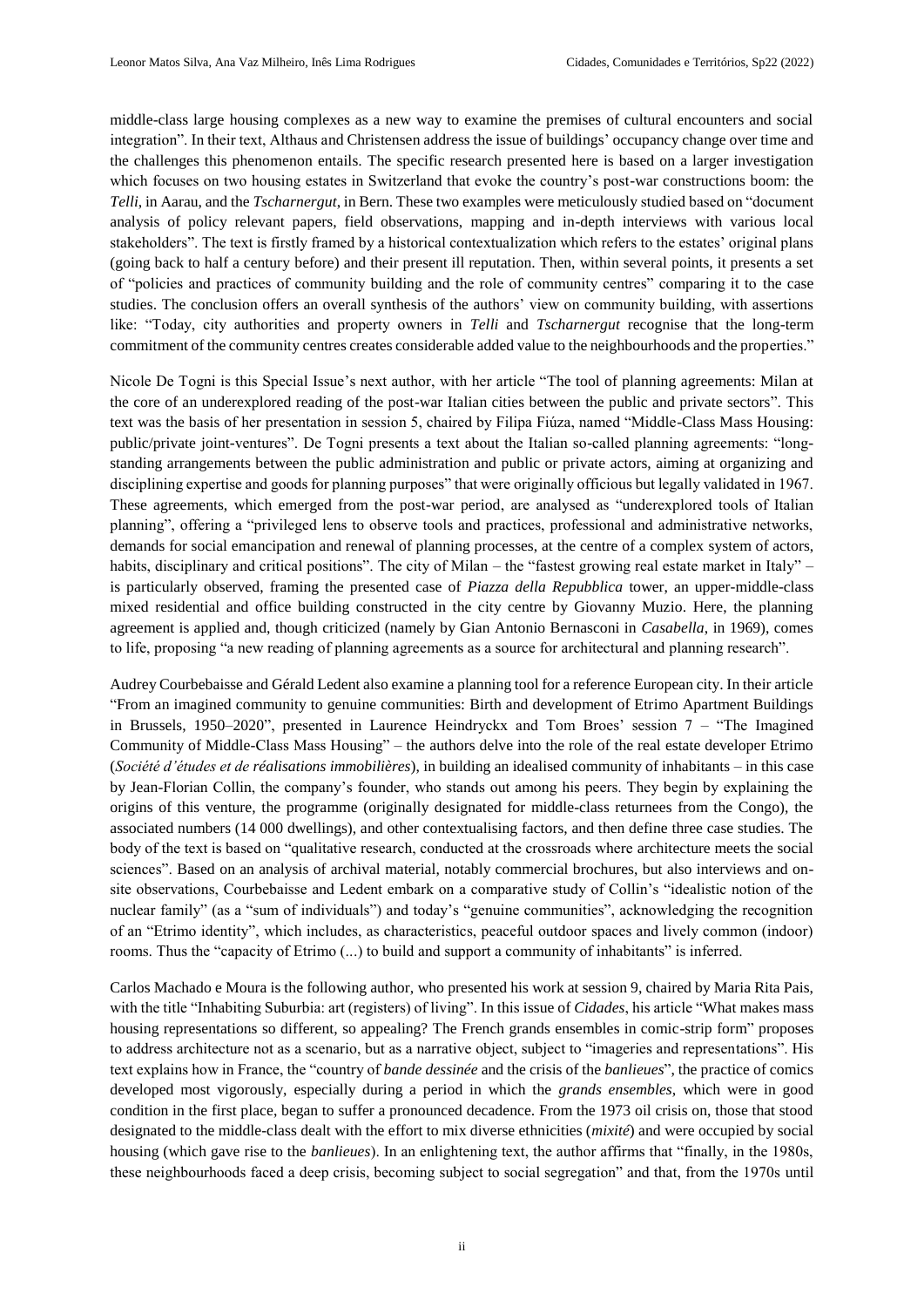middle-class large housing complexes as a new way to examine the premises of cultural encounters and social integration". In their text, Althaus and Christensen address the issue of buildings' occupancy change over time and the challenges this phenomenon entails. The specific research presented here is based on a larger investigation which focuses on two housing estates in Switzerland that evoke the country's post-war constructions boom: the *Telli*, in Aarau, and the *Tscharnergut*, in Bern. These two examples were meticulously studied based on "document analysis of policy relevant papers, field observations, mapping and in-depth interviews with various local stakeholders". The text is firstly framed by a historical contextualization which refers to the estates' original plans (going back to half a century before) and their present ill reputation. Then, within several points, it presents a set of "policies and practices of community building and the role of community centres" comparing it to the case studies. The conclusion offers an overall synthesis of the authors' view on community building, with assertions like: "Today, city authorities and property owners in *Telli* and *Tscharnergut* recognise that the long-term commitment of the community centres creates considerable added value to the neighbourhoods and the properties."

Nicole De Togni is this Special Issue's next author, with her article "The tool of planning agreements: Milan at the core of an underexplored reading of the post-war Italian cities between the public and private sectors". This text was the basis of her presentation in session 5, chaired by Filipa Fiúza, named "Middle-Class Mass Housing: public/private joint-ventures". De Togni presents a text about the Italian so-called planning agreements: "longstanding arrangements between the public administration and public or private actors, aiming at organizing and disciplining expertise and goods for planning purposes" that were originally officious but legally validated in 1967. These agreements, which emerged from the post-war period, are analysed as "underexplored tools of Italian planning", offering a "privileged lens to observe tools and practices, professional and administrative networks, demands for social emancipation and renewal of planning processes, at the centre of a complex system of actors, habits, disciplinary and critical positions". The city of Milan – the "fastest growing real estate market in Italy" – is particularly observed, framing the presented case of *Piazza della Repubblica* tower, an upper-middle-class mixed residential and office building constructed in the city centre by Giovanny Muzio. Here, the planning agreement is applied and, though criticized (namely by Gian Antonio Bernasconi in *Casabella*, in 1969), comes to life, proposing "a new reading of planning agreements as a source for architectural and planning research".

Audrey Courbebaisse and Gérald Ledent also examine a planning tool for a reference European city. In their article "From an imagined community to genuine communities: Birth and development of Etrimo Apartment Buildings in Brussels, 1950–2020", presented in Laurence Heindryckx and Tom Broes' session 7 – "The Imagined Community of Middle-Class Mass Housing" – the authors delve into the role of the real estate developer Etrimo (*Société d'études et de réalisations immobilières*), in building an idealised community of inhabitants – in this case by Jean-Florian Collin, the company's founder, who stands out among his peers. They begin by explaining the origins of this venture, the programme (originally designated for middle-class returnees from the Congo), the associated numbers (14 000 dwellings), and other contextualising factors, and then define three case studies. The body of the text is based on "qualitative research, conducted at the crossroads where architecture meets the social sciences". Based on an analysis of archival material, notably commercial brochures, but also interviews and onsite observations, Courbebaisse and Ledent embark on a comparative study of Collin's "idealistic notion of the nuclear family" (as a "sum of individuals") and today's "genuine communities", acknowledging the recognition of an "Etrimo identity", which includes, as characteristics, peaceful outdoor spaces and lively common (indoor) rooms. Thus the "capacity of Etrimo (...) to build and support a community of inhabitants" is inferred.

Carlos Machado e Moura is the following author, who presented his work at session 9, chaired by Maria Rita Pais, with the title "Inhabiting Suburbia: art (registers) of living". In this issue of *Cidades*, his article "What makes mass housing representations so different, so appealing? The French grands ensembles in comic-strip form" proposes to address architecture not as a scenario, but as a narrative object, subject to "imageries and representations". His text explains how in France, the "country of *bande dessinée* and the crisis of the *banlieues*", the practice of comics developed most vigorously, especially during a period in which the *grands ensembles*, which were in good condition in the first place, began to suffer a pronounced decadence. From the 1973 oil crisis on, those that stood designated to the middle-class dealt with the effort to mix diverse ethnicities (*mixité*) and were occupied by social housing (which gave rise to the *banlieues*). In an enlightening text, the author affirms that "finally, in the 1980s, these neighbourhoods faced a deep crisis, becoming subject to social segregation" and that, from the 1970s until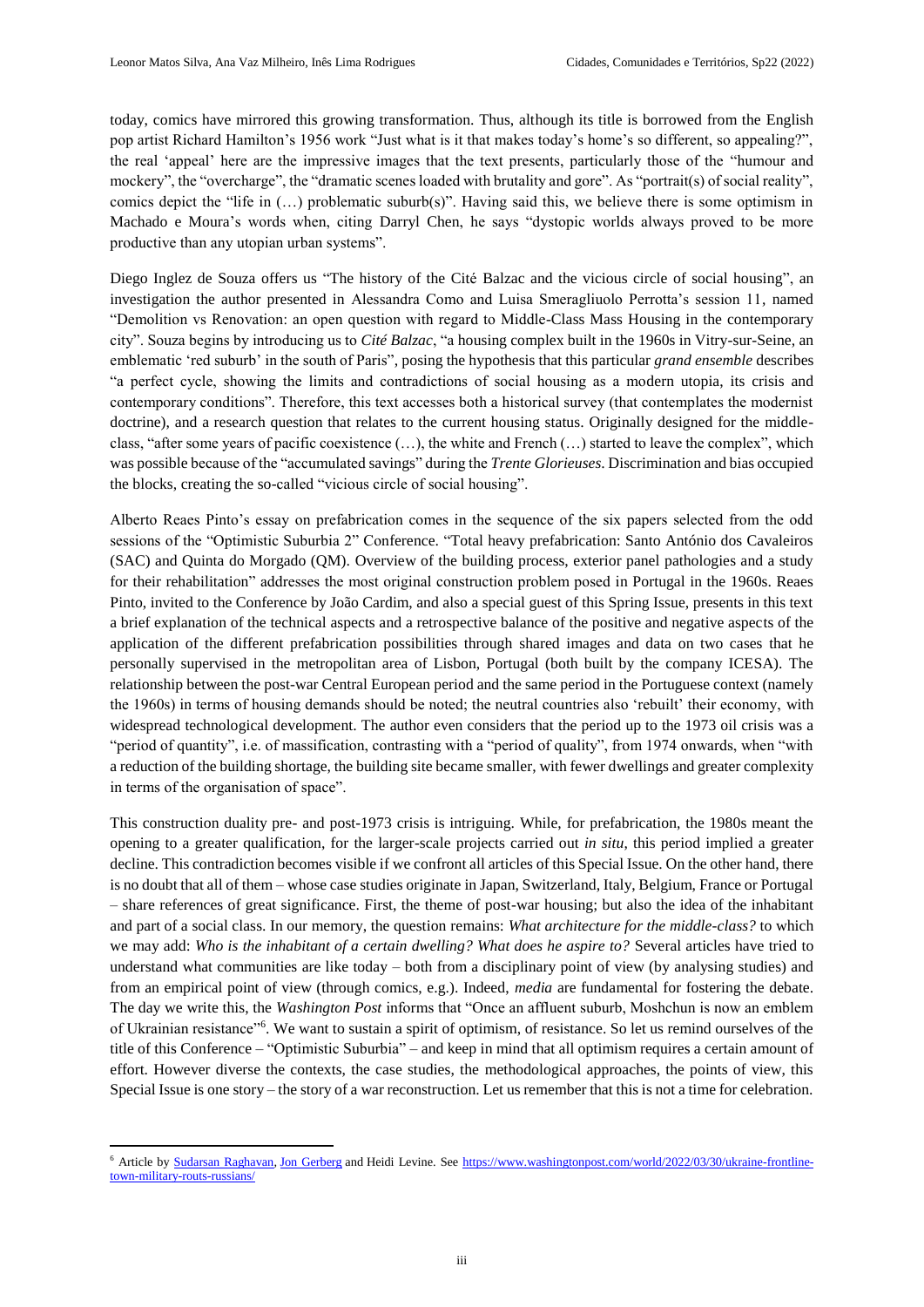today, comics have mirrored this growing transformation. Thus, although its title is borrowed from the English pop artist Richard Hamilton's 1956 work "Just what is it that makes today's home's so different, so appealing?", the real 'appeal' here are the impressive images that the text presents, particularly those of the "humour and mockery", the "overcharge", the "dramatic scenes loaded with brutality and gore". As "portrait(s) of social reality", comics depict the "life in (…) problematic suburb(s)". Having said this, we believe there is some optimism in Machado e Moura's words when, citing Darryl Chen, he says "dystopic worlds always proved to be more productive than any utopian urban systems".

Diego Inglez de Souza offers us "The history of the Cité Balzac and the vicious circle of social housing", an investigation the author presented in Alessandra Como and Luisa Smeragliuolo Perrotta's session 11, named "Demolition vs Renovation: an open question with regard to Middle-Class Mass Housing in the contemporary city". Souza begins by introducing us to *Cité Balzac*, "a housing complex built in the 1960s in Vitry-sur-Seine, an emblematic 'red suburb' in the south of Paris", posing the hypothesis that this particular *grand ensemble* describes "a perfect cycle, showing the limits and contradictions of social housing as a modern utopia, its crisis and contemporary conditions". Therefore, this text accesses both a historical survey (that contemplates the modernist doctrine), and a research question that relates to the current housing status. Originally designed for the middleclass, "after some years of pacific coexistence  $(...)$ , the white and French  $(...)$  started to leave the complex", which was possible because of the "accumulated savings" during the *Trente Glorieuses*. Discrimination and bias occupied the blocks, creating the so-called "vicious circle of social housing".

Alberto Reaes Pinto's essay on prefabrication comes in the sequence of the six papers selected from the odd sessions of the "Optimistic Suburbia 2" Conference. "Total heavy prefabrication: Santo António dos Cavaleiros (SAC) and Quinta do Morgado (QM). Overview of the building process, exterior panel pathologies and a study for their rehabilitation" addresses the most original construction problem posed in Portugal in the 1960s. Reaes Pinto, invited to the Conference by João Cardim, and also a special guest of this Spring Issue, presents in this text a brief explanation of the technical aspects and a retrospective balance of the positive and negative aspects of the application of the different prefabrication possibilities through shared images and data on two cases that he personally supervised in the metropolitan area of Lisbon, Portugal (both built by the company ICESA). The relationship between the post-war Central European period and the same period in the Portuguese context (namely the 1960s) in terms of housing demands should be noted; the neutral countries also 'rebuilt' their economy, with widespread technological development. The author even considers that the period up to the 1973 oil crisis was a "period of quantity", i.e. of massification, contrasting with a "period of quality", from 1974 onwards, when "with a reduction of the building shortage, the building site became smaller, with fewer dwellings and greater complexity in terms of the organisation of space".

This construction duality pre- and post-1973 crisis is intriguing. While, for prefabrication, the 1980s meant the opening to a greater qualification, for the larger-scale projects carried out *in situ*, this period implied a greater decline. This contradiction becomes visible if we confront all articles of this Special Issue. On the other hand, there is no doubt that all of them – whose case studies originate in Japan, Switzerland, Italy, Belgium, France or Portugal – share references of great significance. First, the theme of post-war housing; but also the idea of the inhabitant and part of a social class. In our memory, the question remains: *What architecture for the middle-class?* to which we may add: *Who is the inhabitant of a certain dwelling? What does he aspire to?* Several articles have tried to understand what communities are like today – both from a disciplinary point of view (by analysing studies) and from an empirical point of view (through comics, e.g.). Indeed, *media* are fundamental for fostering the debate. The day we write this, the *Washington Post* informs that "Once an affluent suburb, Moshchun is now an emblem of Ukrainian resistance"<sup>6</sup>. We want to sustain a spirit of optimism, of resistance. So let us remind ourselves of the title of this Conference – "Optimistic Suburbia" – and keep in mind that all optimism requires a certain amount of effort. However diverse the contexts, the case studies, the methodological approaches, the points of view, this Special Issue is one story – the story of a war reconstruction. Let us remember that this is not a time for celebration.

 $\overline{\phantom{a}}$ 

<sup>&</sup>lt;sup>6</sup> Article by [Sudarsan Raghavan,](https://www.washingtonpost.com/people/sudarsan-raghavan/) [Jon Gerberg](https://www.washingtonpost.com/people/jon-gerberg/) and Heidi Levine. See [https://www.washingtonpost.com/world/2022/03/30/ukraine-frontline](https://www.washingtonpost.com/world/2022/03/30/ukraine-frontline-town-military-routs-russians/)[town-military-routs-russians/](https://www.washingtonpost.com/world/2022/03/30/ukraine-frontline-town-military-routs-russians/)